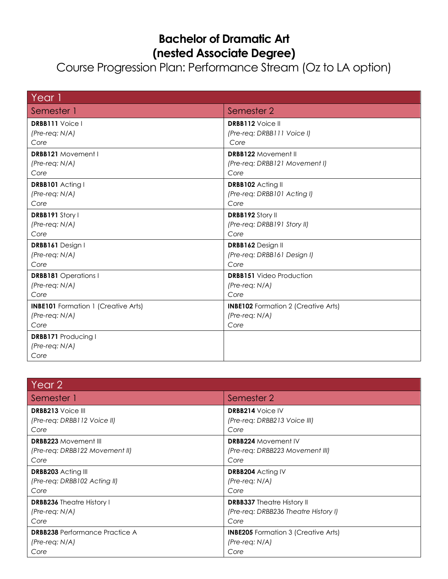## **Bachelor of Dramatic Art (nested Associate Degree)**

## Course Progression Plan: Performance Stream (Oz to LA option)

| Year 1                                     |                                            |
|--------------------------------------------|--------------------------------------------|
| Semester 1                                 | Semester 2                                 |
| <b>DRBB111</b> Voice I                     | <b>DRBB112</b> Voice II                    |
| $(Pre-reg: N/A)$                           | (Pre-req: DRBB111 Voice I)                 |
| Core                                       | Core                                       |
| <b>DRBB121</b> Movement I                  | <b>DRBB122 Movement II</b>                 |
| $(Pre-reg: N/A)$                           | (Pre-req: DRBB121 Movement I)              |
| Core                                       | Core                                       |
| <b>DRBB101</b> Acting I                    | DRBB102 Acting II                          |
| (Pre-req: N/A)                             | (Pre-req: DRBB101 Acting I)                |
| Core                                       | Core                                       |
| DRBB191 Story I                            | <b>DRBB192 Story II</b>                    |
| $(Pre-reg: N/A)$                           | (Pre-req: DRBB191 Story II)                |
| Core                                       | Core                                       |
| DRBB161 Design I                           | DRBB162 Design II                          |
| $(Pre-reg: N/A)$                           | (Pre-req: DRBB161 Design I)                |
| Core                                       | Core                                       |
| <b>DRBB181</b> Operations I                | <b>DRBB151</b> Video Production            |
| (Pre-req: N/A)                             | $(Pre-reg: N/A)$                           |
| Core                                       | Core                                       |
| <b>INBE101</b> Formation 1 (Creative Arts) | <b>INBE102</b> Formation 2 (Creative Arts) |
| $(Pre-reg: N/A)$                           | $(Pre-reg: N/A)$                           |
| Core                                       | Core                                       |
| <b>DRBB171 Producing I</b>                 |                                            |
| $(Pre-reg: N/A)$                           |                                            |
| Core                                       |                                            |

| Year 2                                |                                            |
|---------------------------------------|--------------------------------------------|
| Semester 1                            | Semester 2                                 |
| <b>DRBB213</b> Voice III              | <b>DRBB214 Voice IV</b>                    |
| (Pre-req: DRBB112 Voice II)           | (Pre-req: DRBB213 Voice III)               |
| Core                                  | Core                                       |
| <b>DRBB223 Movement III</b>           | <b>DRBB224 Movement IV</b>                 |
| (Pre-reg: DRBB122 Movement II)        | (Pre-req: DRBB223 Movement III)            |
| Core                                  | Core                                       |
| <b>DRBB203</b> Acting III             | DRBB204 Acting IV                          |
| (Pre-req: DRBB102 Acting II)          | $(Pre-reg: N/A)$                           |
| Core                                  | Core                                       |
| <b>DRBB236</b> Theatre History I      | <b>DRBB337</b> Theatre History II          |
| $(Pre-reg: N/A)$                      | (Pre-req: DRBB236 Theatre History I)       |
| Core                                  | Core                                       |
| <b>DRBB238</b> Performance Practice A | <b>INBE205</b> Formation 3 (Creative Arts) |
| $(Pre-reg: N/A)$                      | $(Pre-reg: N/A)$                           |
| Core                                  | Core                                       |